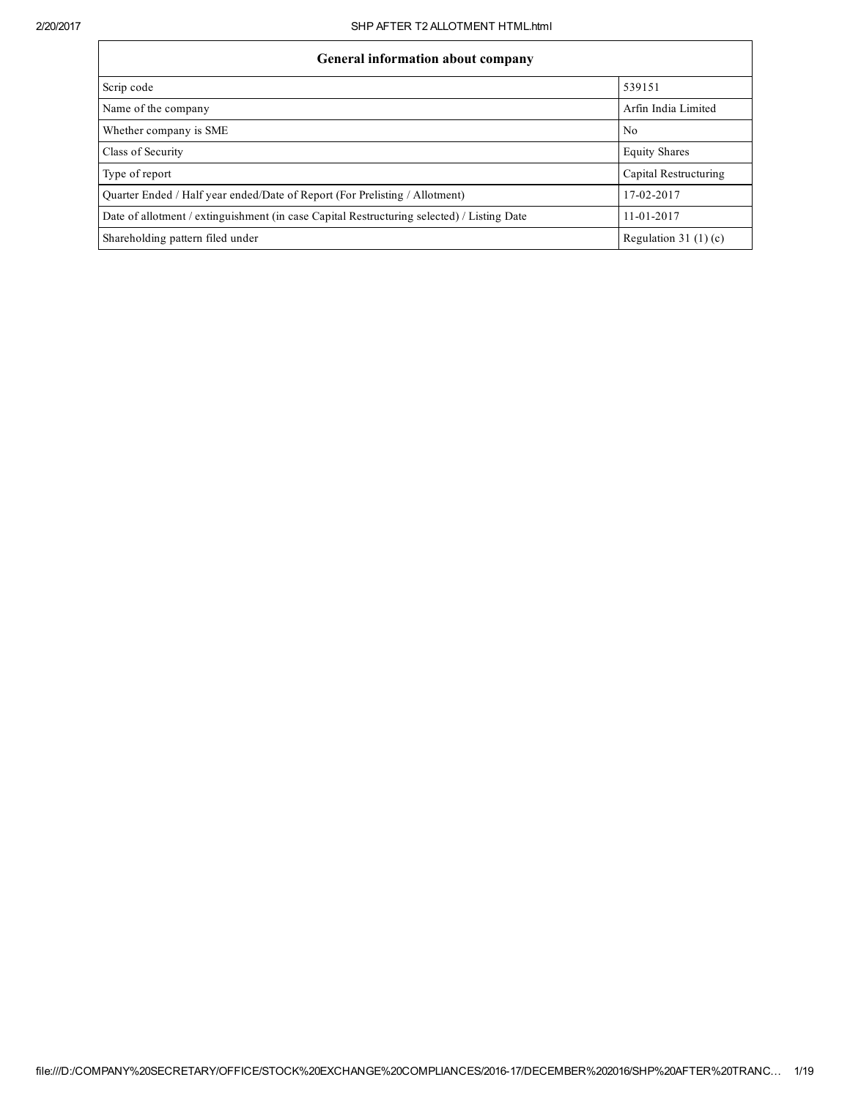| <b>General information about company</b>                                                   |                        |  |  |  |  |  |  |  |
|--------------------------------------------------------------------------------------------|------------------------|--|--|--|--|--|--|--|
| Scrip code                                                                                 | 539151                 |  |  |  |  |  |  |  |
| Name of the company                                                                        | Arfin India Limited    |  |  |  |  |  |  |  |
| Whether company is SME                                                                     | N <sub>0</sub>         |  |  |  |  |  |  |  |
| Class of Security                                                                          | <b>Equity Shares</b>   |  |  |  |  |  |  |  |
| Type of report                                                                             | Capital Restructuring  |  |  |  |  |  |  |  |
| Quarter Ended / Half year ended/Date of Report (For Prelisting / Allotment)                | 17-02-2017             |  |  |  |  |  |  |  |
| Date of allotment / extinguishment (in case Capital Restructuring selected) / Listing Date | $11 - 01 - 2017$       |  |  |  |  |  |  |  |
| Shareholding pattern filed under                                                           | Regulation 31 $(1)(c)$ |  |  |  |  |  |  |  |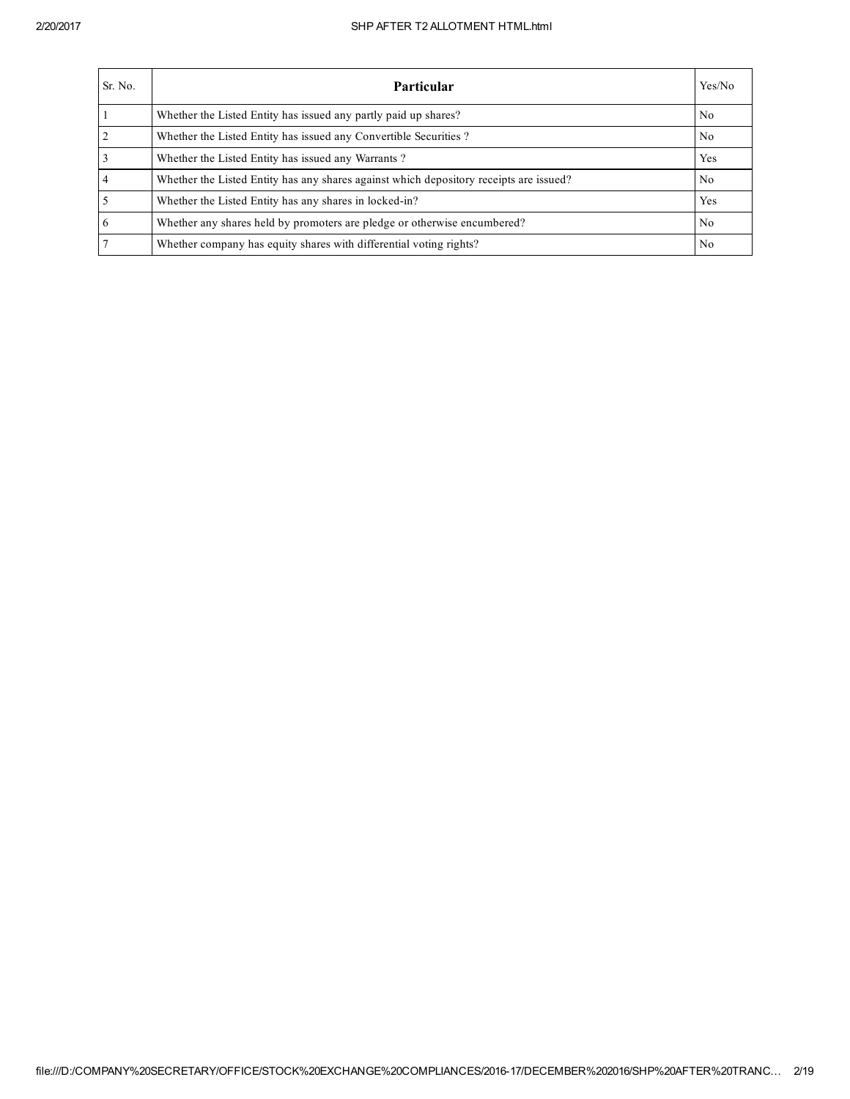| Sr. No.         | Particular                                                                             | Yes/No         |
|-----------------|----------------------------------------------------------------------------------------|----------------|
|                 | Whether the Listed Entity has issued any partly paid up shares?                        | No.            |
| $\overline{2}$  | Whether the Listed Entity has issued any Convertible Securities?                       | N <sub>0</sub> |
| $\overline{3}$  | Whether the Listed Entity has issued any Warrants?                                     | Yes            |
| $\overline{4}$  | Whether the Listed Entity has any shares against which depository receipts are issued? | No.            |
| $\overline{5}$  | Whether the Listed Entity has any shares in locked-in?                                 | Yes            |
| $6\overline{6}$ | Whether any shares held by promoters are pledge or otherwise encumbered?               | N <sub>0</sub> |
| $\overline{7}$  | Whether company has equity shares with differential voting rights?                     | N <sub>0</sub> |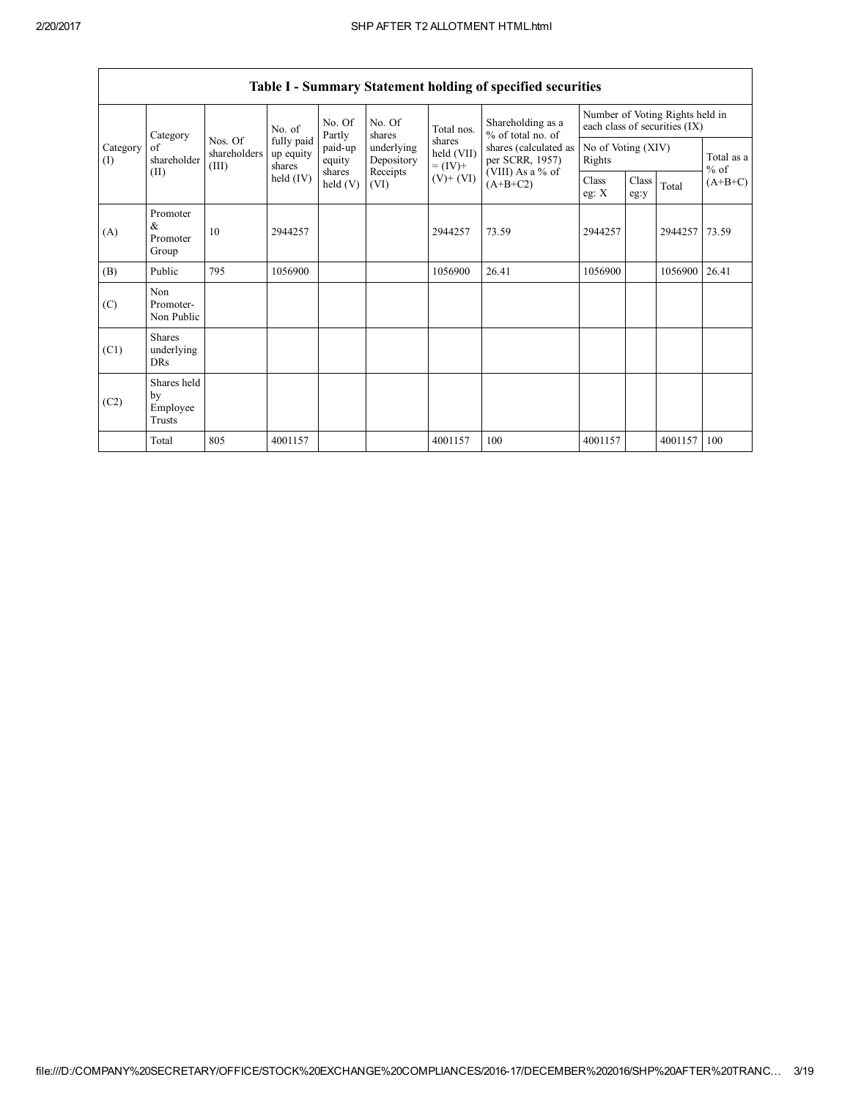|                 | Category                                |                                  | No. of                            | No. Of<br>Partly           | No. Of<br>shares         | Total nos.                         | Shareholding as a<br>% of total no. of                                   | Number of Voting Rights held in<br>each class of securities (IX) |               |               |                      |  |
|-----------------|-----------------------------------------|----------------------------------|-----------------------------------|----------------------------|--------------------------|------------------------------------|--------------------------------------------------------------------------|------------------------------------------------------------------|---------------|---------------|----------------------|--|
| Category<br>(I) | of<br>shareholder                       | Nos. Of<br>shareholders<br>(III) | fully paid<br>up equity<br>shares | paid-up<br>equity          | underlying<br>Depository | shares<br>held (VII)<br>$= (IV) +$ | shares (calculated as<br>No of Voting (XIV)<br>per SCRR, 1957)<br>Rights |                                                                  |               |               | Total as a<br>$%$ of |  |
| (II)            |                                         |                                  | held $(IV)$                       | shares<br>$\text{held}(V)$ | Receipts<br>(VI)         | $(V)+(VI)$                         | (VIII) As a % of<br>$(A+B+C2)$                                           | Class<br>eg: $X$                                                 | Class<br>eg:y | Total         | $(A+B+C)$            |  |
| (A)             | Promoter<br>&<br>Promoter<br>Group      | 10                               | 2944257                           |                            |                          | 2944257                            | 73.59                                                                    | 2944257                                                          |               | 2944257 73.59 |                      |  |
| (B)             | Public                                  | 795                              | 1056900                           |                            |                          | 1056900                            | 26.41                                                                    | 1056900                                                          |               | 1056900       | 26.41                |  |
| (C)             | Non<br>Promoter-<br>Non Public          |                                  |                                   |                            |                          |                                    |                                                                          |                                                                  |               |               |                      |  |
| (C1)            | <b>Shares</b><br>underlying<br>DRs      |                                  |                                   |                            |                          |                                    |                                                                          |                                                                  |               |               |                      |  |
| (C2)            | Shares held<br>by<br>Employee<br>Trusts |                                  |                                   |                            |                          |                                    |                                                                          |                                                                  |               |               |                      |  |
|                 | Total                                   | 805                              | 4001157                           |                            |                          | 4001157                            | 100                                                                      | 4001157                                                          |               | 4001157       | 100                  |  |

Table I - Summary Statement holding of specified securities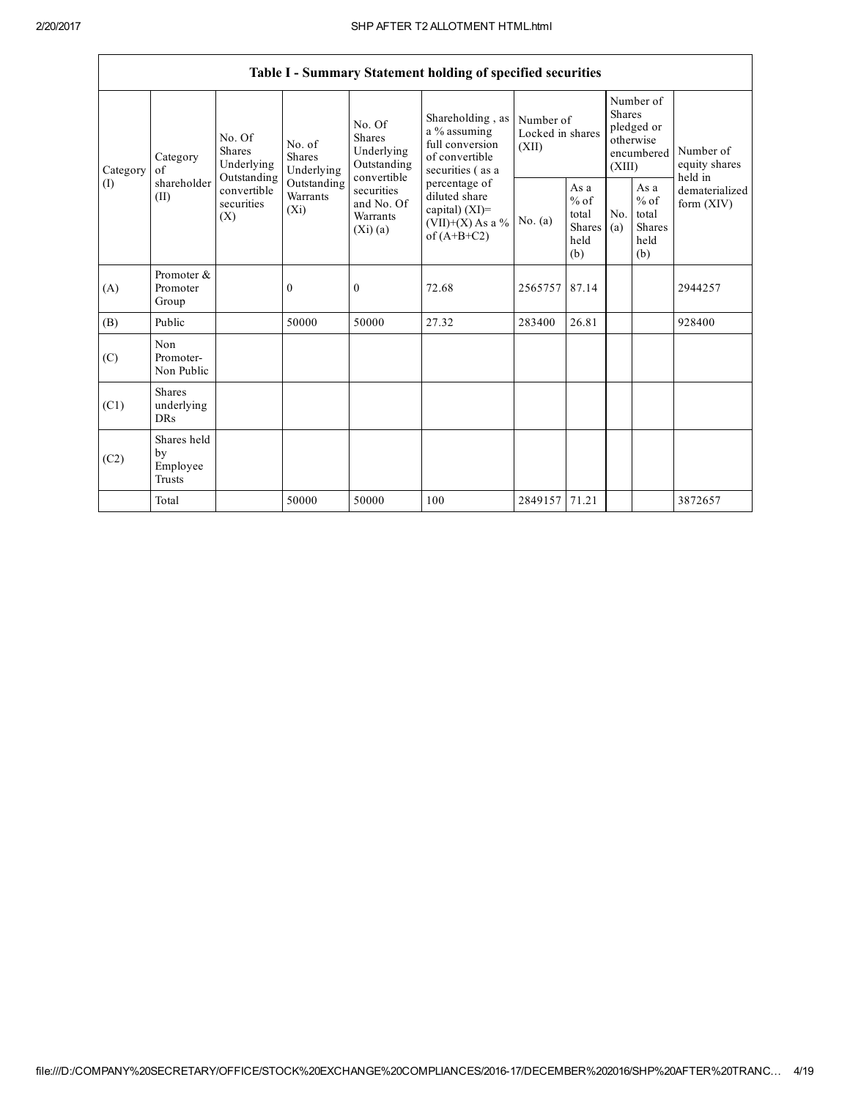|                 |                                                |                                                                                                                                                                         |                                                                |                                                                                            | Table I - Summary Statement holding of specified securities                               |                                                         |            |                                                                               |                                |                                       |
|-----------------|------------------------------------------------|-------------------------------------------------------------------------------------------------------------------------------------------------------------------------|----------------------------------------------------------------|--------------------------------------------------------------------------------------------|-------------------------------------------------------------------------------------------|---------------------------------------------------------|------------|-------------------------------------------------------------------------------|--------------------------------|---------------------------------------|
| Category<br>(I) | Category<br>$\alpha$ f<br>shareholder<br>(II)  | No. Of<br>No. of<br><b>Shares</b><br><b>Shares</b><br>Underlying<br>Underlying<br>Outstanding<br>Outstanding<br>convertible<br>Warrants<br>securities<br>$(X_i)$<br>(X) |                                                                | No. Of<br>Shares<br>Underlying<br>Outstanding                                              | Shareholding, as<br>a % assuming<br>full conversion<br>of convertible<br>securities (as a | Number of<br>Locked in shares<br>(XII)                  |            | Number of<br><b>Shares</b><br>pledged or<br>otherwise<br>encumbered<br>(XIII) |                                | Number of<br>equity shares<br>held in |
|                 |                                                |                                                                                                                                                                         | convertible<br>securities<br>and No. Of<br>Warrants<br>(Xi)(a) | percentage of<br>diluted share<br>capital) $(XI)$ =<br>$(VII)+(X)$ As a %<br>of $(A+B+C2)$ | No. $(a)$                                                                                 | As a<br>$%$ of<br>total<br><b>Shares</b><br>held<br>(b) | No.<br>(a) | As a<br>$%$ of<br>total<br><b>Shares</b><br>held<br>(b)                       | dematerialized<br>form $(XIV)$ |                                       |
| (A)             | Promoter &<br>Promoter<br>Group                |                                                                                                                                                                         | $\mathbf{0}$                                                   | $\mathbf{0}$                                                                               | 72.68                                                                                     | 2565757                                                 | 87.14      |                                                                               |                                | 2944257                               |
| (B)             | Public                                         |                                                                                                                                                                         | 50000                                                          | 50000                                                                                      | 27.32                                                                                     | 283400                                                  | 26.81      |                                                                               |                                | 928400                                |
| (C)             | Non<br>Promoter-<br>Non Public                 |                                                                                                                                                                         |                                                                |                                                                                            |                                                                                           |                                                         |            |                                                                               |                                |                                       |
| (C1)            | <b>Shares</b><br>underlying<br><b>DRs</b>      |                                                                                                                                                                         |                                                                |                                                                                            |                                                                                           |                                                         |            |                                                                               |                                |                                       |
| (C2)            | Shares held<br>by<br>Employee<br><b>Trusts</b> |                                                                                                                                                                         |                                                                |                                                                                            |                                                                                           |                                                         |            |                                                                               |                                |                                       |
|                 | Total                                          |                                                                                                                                                                         | 50000                                                          | 50000                                                                                      | 100                                                                                       | 2849157 71.21                                           |            |                                                                               |                                | 3872657                               |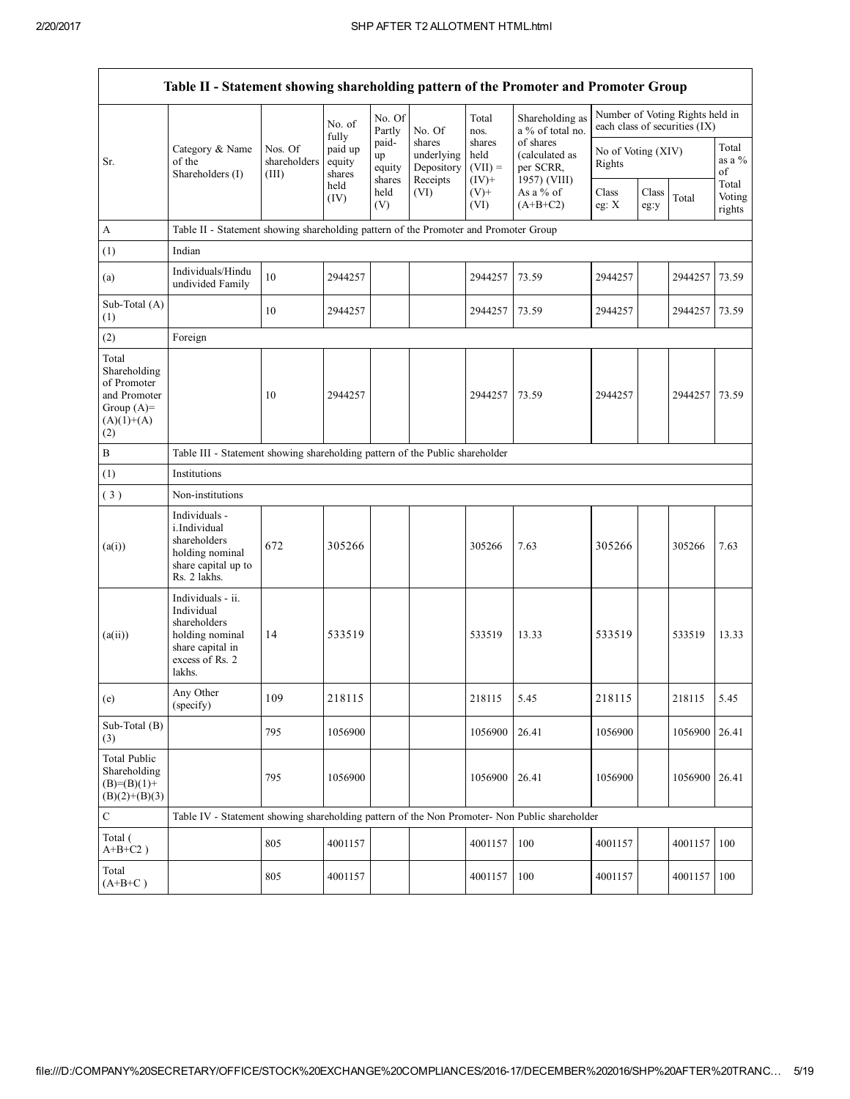| Table II - Statement showing shareholding pattern of the Promoter and Promoter Group        |                                                                                                                     |                                  |                                      |                                 |                                                |                                         |                                                          |                              |               |                                                                  |                           |
|---------------------------------------------------------------------------------------------|---------------------------------------------------------------------------------------------------------------------|----------------------------------|--------------------------------------|---------------------------------|------------------------------------------------|-----------------------------------------|----------------------------------------------------------|------------------------------|---------------|------------------------------------------------------------------|---------------------------|
|                                                                                             |                                                                                                                     |                                  | No. of                               | No. Of<br>Partly                | No. Of                                         | Total<br>nos.                           | Shareholding as<br>a % of total no.                      |                              |               | Number of Voting Rights held in<br>each class of securities (IX) |                           |
| Sr.                                                                                         | Category & Name<br>of the<br>Shareholders (I)                                                                       | Nos. Of<br>shareholders<br>(III) | fully<br>paid up<br>equity<br>shares | paid-<br>up<br>equity<br>shares | shares<br>underlying<br>Depository<br>Receipts | shares<br>held<br>$(VII) =$<br>$(IV)$ + | of shares<br>(calculated as<br>per SCRR,<br>1957) (VIII) | No of Voting (XIV)<br>Rights |               |                                                                  | Total<br>as a $%$<br>of   |
|                                                                                             |                                                                                                                     |                                  | held<br>(IV)                         | held<br>(V)                     | (VI)                                           | $(V)$ +<br>(VI)                         | As a % of<br>$(A+B+C2)$                                  | Class<br>eg: $X$             | Class<br>eg:y | Total                                                            | Total<br>Voting<br>rights |
| A                                                                                           | Table II - Statement showing shareholding pattern of the Promoter and Promoter Group                                |                                  |                                      |                                 |                                                |                                         |                                                          |                              |               |                                                                  |                           |
| (1)                                                                                         | Indian                                                                                                              |                                  |                                      |                                 |                                                |                                         |                                                          |                              |               |                                                                  |                           |
| (a)                                                                                         | Individuals/Hindu<br>undivided Family                                                                               | 10                               | 2944257                              |                                 |                                                | 2944257                                 | 73.59                                                    | 2944257                      |               | 2944257                                                          | 73.59                     |
| Sub-Total (A)<br>(1)                                                                        |                                                                                                                     | 10                               | 2944257                              |                                 |                                                | 2944257                                 | 73.59                                                    | 2944257                      |               | 2944257                                                          | 73.59                     |
| (2)                                                                                         | Foreign                                                                                                             |                                  |                                      |                                 |                                                |                                         |                                                          |                              |               |                                                                  |                           |
| Total<br>Shareholding<br>of Promoter<br>and Promoter<br>Group $(A)=$<br>$(A)(1)+(A)$<br>(2) |                                                                                                                     | 10                               | 2944257                              |                                 |                                                | 2944257                                 | 73.59                                                    | 2944257                      |               | 2944257                                                          | 73.59                     |
| B                                                                                           | Table III - Statement showing shareholding pattern of the Public shareholder                                        |                                  |                                      |                                 |                                                |                                         |                                                          |                              |               |                                                                  |                           |
| (1)                                                                                         | Institutions                                                                                                        |                                  |                                      |                                 |                                                |                                         |                                                          |                              |               |                                                                  |                           |
| (3)                                                                                         | Non-institutions                                                                                                    |                                  |                                      |                                 |                                                |                                         |                                                          |                              |               |                                                                  |                           |
| (a(i))                                                                                      | Individuals -<br>i.Individual<br>shareholders<br>holding nominal<br>share capital up to<br>Rs. 2 lakhs.             | 672                              | 305266                               |                                 |                                                | 305266                                  | 7.63                                                     | 305266                       |               | 305266                                                           | 7.63                      |
| (a(ii))                                                                                     | Individuals - ii.<br>Individual<br>shareholders<br>holding nominal<br>share capital in<br>excess of Rs. 2<br>lakhs. | 14                               | 533519                               |                                 |                                                | 533519                                  | 13.33                                                    | 533519                       |               | 533519                                                           | 13.33                     |
| (e)                                                                                         | Any Other<br>(specify)                                                                                              | 109                              | 218115                               |                                 |                                                | 218115                                  | 5.45                                                     | 218115                       |               | 218115                                                           | 5.45                      |
| Sub-Total (B)<br>(3)                                                                        |                                                                                                                     | 795                              | 1056900                              |                                 |                                                | 1056900                                 | 26.41                                                    | 1056900                      |               | 1056900                                                          | 26.41                     |
| <b>Total Public</b><br>Shareholding<br>$(B)=(B)(1)+$<br>$(B)(2)+(B)(3)$                     |                                                                                                                     | 795                              | 1056900                              |                                 |                                                | 1056900                                 | 26.41                                                    | 1056900                      |               | 1056900                                                          | 26.41                     |
| ${\bf C}$                                                                                   | Table IV - Statement showing shareholding pattern of the Non Promoter- Non Public shareholder                       |                                  |                                      |                                 |                                                |                                         |                                                          |                              |               |                                                                  |                           |
| Total (<br>$A+B+C2$ )                                                                       |                                                                                                                     | 805                              | 4001157                              |                                 |                                                | 4001157                                 | 100                                                      | 4001157                      |               | 4001157                                                          | 100                       |
| Total<br>$(A+B+C)$                                                                          |                                                                                                                     | 805                              | 4001157                              |                                 |                                                | 4001157                                 | 100                                                      | 4001157                      |               | 4001157                                                          | 100                       |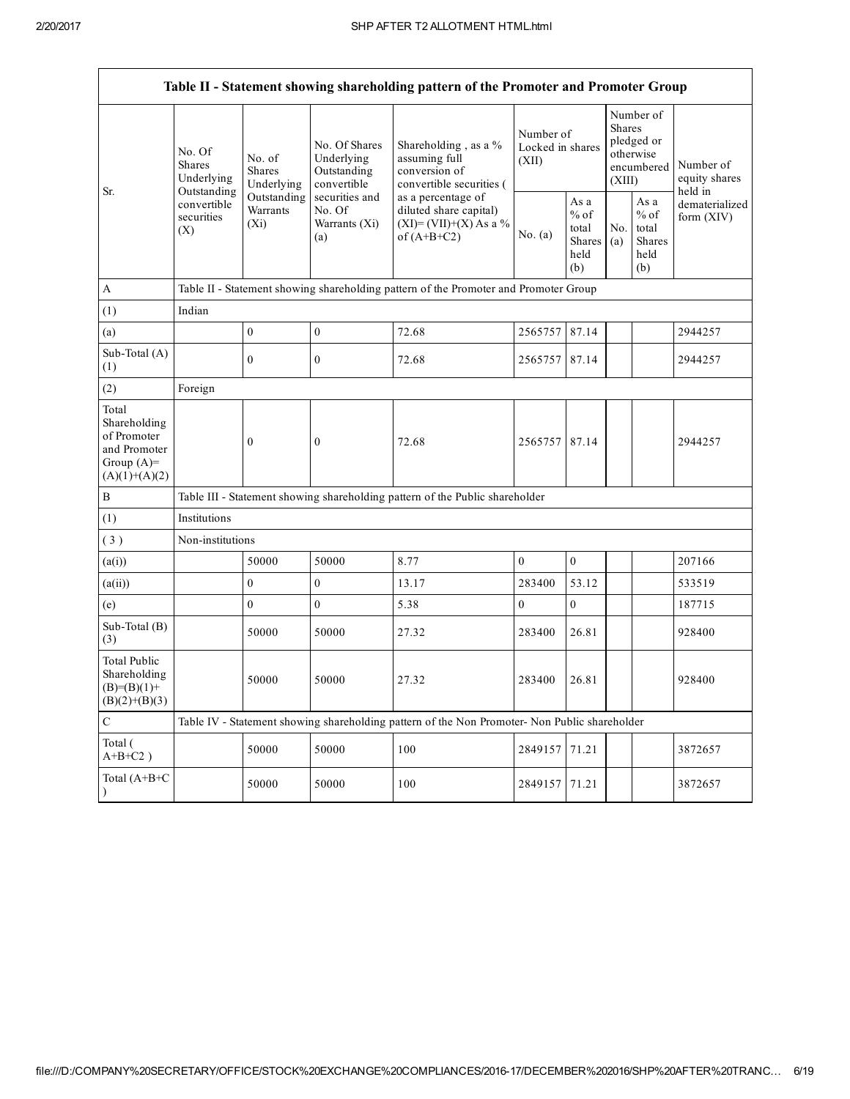| Number of<br><b>Shares</b><br>Number of<br>pledged or                                                                                                                                                                                                                                                                                                                                       |                                                                         |  |  |  |  |  |  |  |  |  |
|---------------------------------------------------------------------------------------------------------------------------------------------------------------------------------------------------------------------------------------------------------------------------------------------------------------------------------------------------------------------------------------------|-------------------------------------------------------------------------|--|--|--|--|--|--|--|--|--|
| No. Of Shares<br>Shareholding, as a %<br>Locked in shares<br>No. Of<br>otherwise<br>assuming full<br>Underlying<br>No. of<br>(XII)<br><b>Shares</b><br>encumbered<br>Outstanding<br>conversion of<br><b>Shares</b><br>Underlying<br>(XIII)<br>convertible<br>convertible securities (<br>Underlying                                                                                         | Number of<br>equity shares<br>held in<br>dematerialized<br>form $(XIV)$ |  |  |  |  |  |  |  |  |  |
| Outstanding<br>Sr.<br>Outstanding<br>securities and<br>as a percentage of<br>As a<br>As a<br>convertible<br>Warrants<br>No. Of<br>diluted share capital)<br>$%$ of<br>$%$ of<br>securities<br>$(XI)=(VII)+(X) As a %$<br>$(X_i)$<br>Warrants (Xi)<br>total<br>No.<br>total<br>(X)<br>No. (a)<br>of $(A+B+C2)$<br>(a)<br><b>Shares</b><br><b>Shares</b><br>(a)<br>held<br>held<br>(b)<br>(b) |                                                                         |  |  |  |  |  |  |  |  |  |
| $\mathbf{A}$<br>Table II - Statement showing shareholding pattern of the Promoter and Promoter Group                                                                                                                                                                                                                                                                                        |                                                                         |  |  |  |  |  |  |  |  |  |
| Indian<br>(1)                                                                                                                                                                                                                                                                                                                                                                               |                                                                         |  |  |  |  |  |  |  |  |  |
| $\mathbf{0}$<br>$\boldsymbol{0}$<br>72.68<br>2565757<br>87.14<br>(a)                                                                                                                                                                                                                                                                                                                        | 2944257                                                                 |  |  |  |  |  |  |  |  |  |
| Sub-Total (A)<br>$\mathbf{0}$<br>87.14<br>$\boldsymbol{0}$<br>72.68<br>2565757<br>(1)                                                                                                                                                                                                                                                                                                       | 2944257                                                                 |  |  |  |  |  |  |  |  |  |
| (2)<br>Foreign                                                                                                                                                                                                                                                                                                                                                                              |                                                                         |  |  |  |  |  |  |  |  |  |
| Total<br>Shareholding<br>of Promoter<br>$\boldsymbol{0}$<br>$\mathbf{0}$<br>72.68<br>2565757 87.14<br>and Promoter<br>Group $(A)=$<br>$(A)(1)+(A)(2)$                                                                                                                                                                                                                                       | 2944257                                                                 |  |  |  |  |  |  |  |  |  |
| $\, {\bf B}$<br>Table III - Statement showing shareholding pattern of the Public shareholder                                                                                                                                                                                                                                                                                                |                                                                         |  |  |  |  |  |  |  |  |  |
| (1)<br>Institutions                                                                                                                                                                                                                                                                                                                                                                         |                                                                         |  |  |  |  |  |  |  |  |  |
| (3)<br>Non-institutions                                                                                                                                                                                                                                                                                                                                                                     |                                                                         |  |  |  |  |  |  |  |  |  |
| 50000<br>50000<br>8.77<br>$\mathbf{0}$<br>$\mathbf{0}$<br>(a(i))                                                                                                                                                                                                                                                                                                                            | 207166                                                                  |  |  |  |  |  |  |  |  |  |
| $\mathbf{0}$<br>$\overline{0}$<br>13.17<br>53.12<br>(a(ii))<br>283400                                                                                                                                                                                                                                                                                                                       | 533519                                                                  |  |  |  |  |  |  |  |  |  |
| $\mathbf{0}$<br>$\boldsymbol{0}$<br>$\boldsymbol{0}$<br>5.38<br>$\boldsymbol{0}$<br>(e)                                                                                                                                                                                                                                                                                                     | 187715                                                                  |  |  |  |  |  |  |  |  |  |
| Sub-Total (B)<br>50000<br>50000<br>27.32<br>283400<br>26.81<br>(3)                                                                                                                                                                                                                                                                                                                          | 928400                                                                  |  |  |  |  |  |  |  |  |  |
| <b>Total Public</b><br>Shareholding<br>50000<br>50000<br>27.32<br>283400<br>26.81<br>$(B)=(B)(1)+$<br>$(B)(2)+(B)(3)$                                                                                                                                                                                                                                                                       | 928400                                                                  |  |  |  |  |  |  |  |  |  |
| $\mathbf C$<br>Table IV - Statement showing shareholding pattern of the Non Promoter- Non Public shareholder                                                                                                                                                                                                                                                                                |                                                                         |  |  |  |  |  |  |  |  |  |
| Total (<br>50000<br>50000<br>100<br>2849157<br>71.21<br>$A+B+C2$ )                                                                                                                                                                                                                                                                                                                          | 3872657                                                                 |  |  |  |  |  |  |  |  |  |
| Total (A+B+C<br>50000<br>50000<br>100<br>2849157<br>71.21                                                                                                                                                                                                                                                                                                                                   | 3872657                                                                 |  |  |  |  |  |  |  |  |  |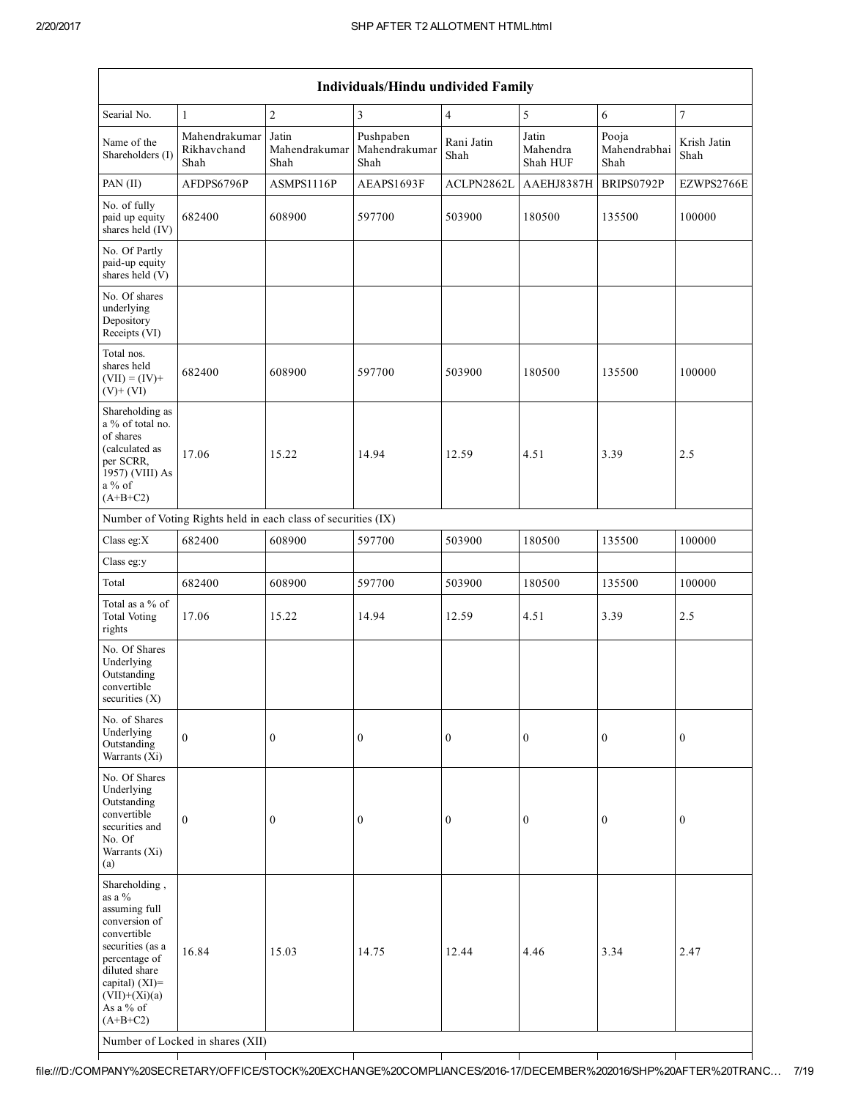|                                                                                                                                                                                                | <b>Individuals/Hindu undivided Family</b> |                                |                                    |                    |                               |                               |                     |  |  |  |  |
|------------------------------------------------------------------------------------------------------------------------------------------------------------------------------------------------|-------------------------------------------|--------------------------------|------------------------------------|--------------------|-------------------------------|-------------------------------|---------------------|--|--|--|--|
| Searial No.                                                                                                                                                                                    | $\mathbf{1}$                              | $\overline{c}$                 | $\mathfrak{Z}$                     | $\overline{4}$     | 5                             | 6                             | $\sqrt{ }$          |  |  |  |  |
| Name of the<br>Shareholders (I)                                                                                                                                                                | Mahendrakumar<br>Rikhavchand<br>Shah      | Jatin<br>Mahendrakumar<br>Shah | Pushpaben<br>Mahendrakumar<br>Shah | Rani Jatin<br>Shah | Jatin<br>Mahendra<br>Shah HUF | Pooja<br>Mahendrabhai<br>Shah | Krish Jatin<br>Shah |  |  |  |  |
| PAN (II)                                                                                                                                                                                       | AFDPS6796P                                | ASMPS1116P                     | AEAPS1693F                         | ACLPN2862L         | AAEHJ8387H                    | BRIPS0792P                    | EZWPS2766E          |  |  |  |  |
| No. of fully<br>paid up equity<br>shares held (IV)                                                                                                                                             | 682400                                    | 608900                         | 597700                             | 503900             | 180500                        | 135500                        | 100000              |  |  |  |  |
| No. Of Partly<br>paid-up equity<br>shares held (V)                                                                                                                                             |                                           |                                |                                    |                    |                               |                               |                     |  |  |  |  |
| No. Of shares<br>underlying<br>Depository<br>Receipts (VI)                                                                                                                                     |                                           |                                |                                    |                    |                               |                               |                     |  |  |  |  |
| Total nos.<br>shares held<br>$(VII) = (IV) +$<br>$(V)$ + $(VI)$                                                                                                                                | 682400                                    | 608900                         | 597700                             | 503900             | 180500                        | 135500                        | 100000              |  |  |  |  |
| Shareholding as<br>a % of total no.<br>of shares<br>(calculated as<br>per SCRR,                                                                                                                | 17.06                                     | 15.22                          | 14.94                              | 12.59              | 4.51                          | 3.39                          | 2.5                 |  |  |  |  |
| 1957) (VIII) As<br>$a\%$ of<br>$(A+B+C2)$                                                                                                                                                      |                                           |                                |                                    |                    |                               |                               |                     |  |  |  |  |
| Number of Voting Rights held in each class of securities (IX)                                                                                                                                  |                                           |                                |                                    |                    |                               |                               |                     |  |  |  |  |
| Class eg: $X$                                                                                                                                                                                  | 682400                                    | 608900                         | 597700                             | 503900             | 180500                        | 135500                        | 100000              |  |  |  |  |
| Class eg:y                                                                                                                                                                                     |                                           |                                |                                    |                    |                               |                               |                     |  |  |  |  |
| Total                                                                                                                                                                                          | 682400                                    | 608900                         | 597700                             | 503900             | 180500                        | 135500                        | 100000              |  |  |  |  |
| Total as a % of<br><b>Total Voting</b><br>rights                                                                                                                                               | 17.06                                     | 15.22                          | 14.94                              | 12.59              | 4.51                          | 3.39                          | 2.5                 |  |  |  |  |
| No. Of Shares<br>Underlying<br>Outstanding<br>convertible<br>securities (X)                                                                                                                    |                                           |                                |                                    |                    |                               |                               |                     |  |  |  |  |
| No. of Shares<br>Underlying<br>Outstanding<br>Warrants (Xi)                                                                                                                                    | $\mathbf{0}$                              | $\boldsymbol{0}$               | $\boldsymbol{0}$                   | $\mathbf{0}$       | $\boldsymbol{0}$              | $\mathbf{0}$                  | $\mathbf{0}$        |  |  |  |  |
| No. Of Shares<br>Underlying<br>Outstanding<br>convertible<br>securities and<br>No. Of<br>Warrants (Xi)<br>(a)                                                                                  | $\boldsymbol{0}$                          | $\boldsymbol{0}$               | $\boldsymbol{0}$                   | $\mathbf{0}$       | $\boldsymbol{0}$              | $\mathbf{0}$                  | $\mathbf{0}$        |  |  |  |  |
| Shareholding,<br>as a %<br>assuming full<br>conversion of<br>convertible<br>securities (as a<br>percentage of<br>diluted share<br>capital) (XI)=<br>$(VII)+(Xi)(a)$<br>As a % of<br>$(A+B+C2)$ | 16.84<br>Number of Locked in shares (XII) | 15.03                          | 14.75                              | 12.44              | 4.46                          | 3.34                          | 2.47                |  |  |  |  |

┱

┱

Т

Τ

┱

Т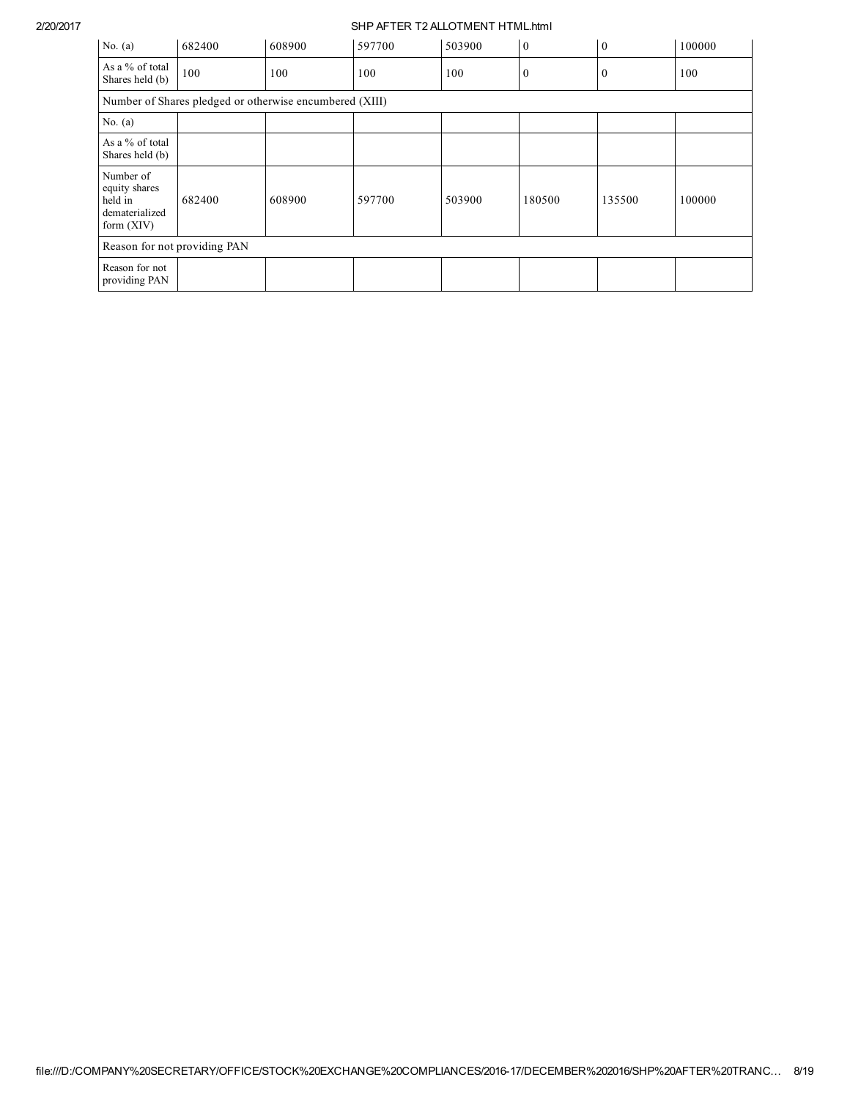| No. $(a)$                                                               | 682400 | 608900                                                  | 597700 | 503900 | $\mathbf{0}$ | $\mathbf{0}$     | 100000 |  |  |
|-------------------------------------------------------------------------|--------|---------------------------------------------------------|--------|--------|--------------|------------------|--------|--|--|
| As a % of total<br>Shares held (b)                                      | 100    | 100                                                     | 100    | 100    | $\mathbf{0}$ | $\boldsymbol{0}$ | 100    |  |  |
|                                                                         |        | Number of Shares pledged or otherwise encumbered (XIII) |        |        |              |                  |        |  |  |
| No. $(a)$                                                               |        |                                                         |        |        |              |                  |        |  |  |
| As a % of total<br>Shares held (b)                                      |        |                                                         |        |        |              |                  |        |  |  |
| Number of<br>equity shares<br>held in<br>dematerialized<br>form $(XIV)$ | 682400 | 608900                                                  | 597700 | 503900 | 180500       | 135500           | 100000 |  |  |
| Reason for not providing PAN                                            |        |                                                         |        |        |              |                  |        |  |  |
| Reason for not<br>providing PAN                                         |        |                                                         |        |        |              |                  |        |  |  |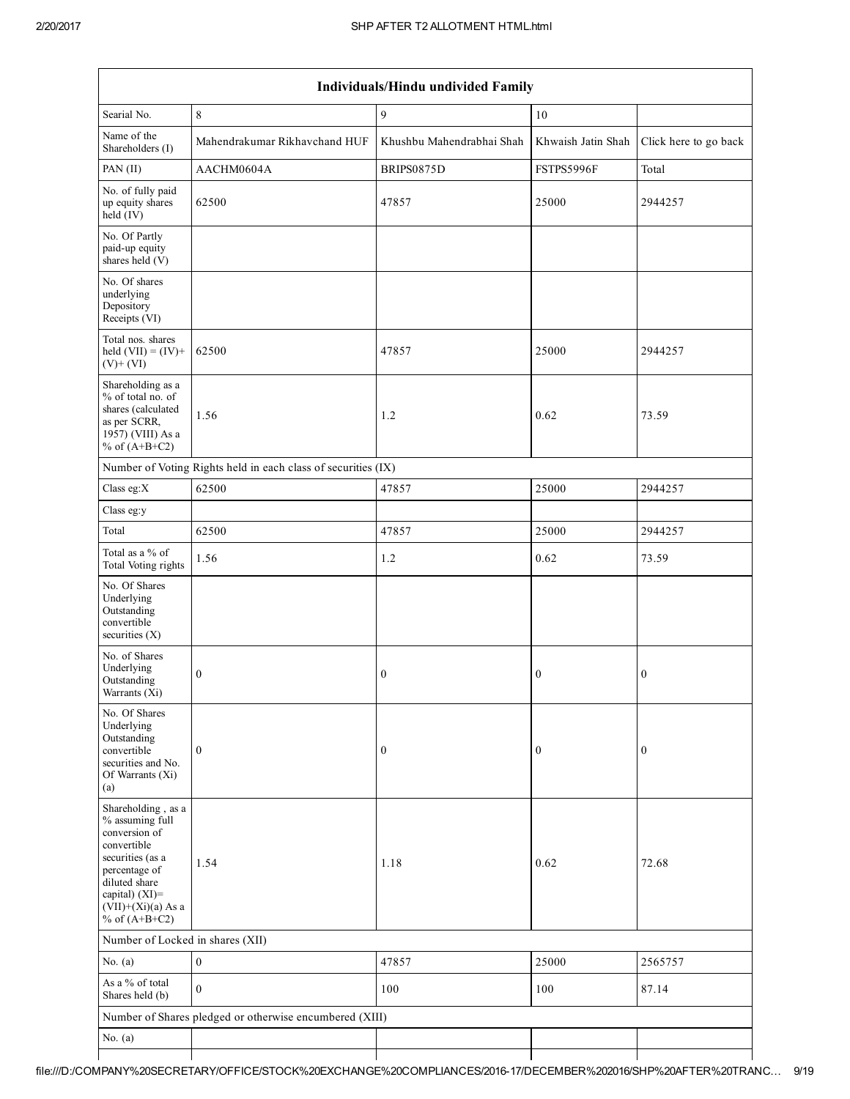| Individuals/Hindu undivided Family                                                                                                                                                       |                                                               |                           |                    |                       |  |  |  |  |  |
|------------------------------------------------------------------------------------------------------------------------------------------------------------------------------------------|---------------------------------------------------------------|---------------------------|--------------------|-----------------------|--|--|--|--|--|
| Searial No.                                                                                                                                                                              | $\,$ 8 $\,$                                                   | $\mathbf{Q}$              | $10\,$             |                       |  |  |  |  |  |
| Name of the<br>Shareholders (I)                                                                                                                                                          | Mahendrakumar Rikhavchand HUF                                 | Khushbu Mahendrabhai Shah | Khwaish Jatin Shah | Click here to go back |  |  |  |  |  |
| PAN $(II)$                                                                                                                                                                               | AACHM0604A                                                    | BRIPS0875D                | FSTPS5996F         | Total                 |  |  |  |  |  |
| No. of fully paid<br>up equity shares<br>held (IV)                                                                                                                                       | 62500                                                         | 47857                     | 25000              | 2944257               |  |  |  |  |  |
| No. Of Partly<br>paid-up equity<br>shares held (V)                                                                                                                                       |                                                               |                           |                    |                       |  |  |  |  |  |
| No. Of shares<br>underlying<br>Depository<br>Receipts (VI)                                                                                                                               |                                                               |                           |                    |                       |  |  |  |  |  |
| Total nos. shares<br>held $(VII) = (IV) +$<br>$(V)+(VI)$                                                                                                                                 | 62500                                                         | 47857                     | 25000              | 2944257               |  |  |  |  |  |
| Shareholding as a<br>% of total no. of<br>shares (calculated<br>as per SCRR,<br>1957) (VIII) As a<br>% of $(A+B+C2)$                                                                     | 1.56                                                          | 1.2                       | 0.62               | 73.59                 |  |  |  |  |  |
|                                                                                                                                                                                          | Number of Voting Rights held in each class of securities (IX) |                           |                    |                       |  |  |  |  |  |
| Class eg: $X$                                                                                                                                                                            | 62500                                                         | 47857                     | 25000              | 2944257               |  |  |  |  |  |
| Class eg:y                                                                                                                                                                               |                                                               |                           |                    |                       |  |  |  |  |  |
| Total                                                                                                                                                                                    | 62500                                                         | 47857                     | 25000              | 2944257               |  |  |  |  |  |
| Total as a % of<br>Total Voting rights                                                                                                                                                   | 1.56                                                          | $1.2\,$                   | 0.62               | 73.59                 |  |  |  |  |  |
| No. Of Shares<br>Underlying<br>Outstanding<br>convertible<br>securities $(X)$                                                                                                            |                                                               |                           |                    |                       |  |  |  |  |  |
| No. of Shares<br>Underlying<br>Outstanding<br>Warrants $(X_i)$                                                                                                                           | $\boldsymbol{0}$                                              | $\boldsymbol{0}$          | $\boldsymbol{0}$   | $\boldsymbol{0}$      |  |  |  |  |  |
| No. Of Shares<br>Underlying<br>Outstanding<br>convertible<br>securities and No.<br>Of Warrants (Xi)<br>(a)                                                                               | $\mathbf{0}$                                                  | $\boldsymbol{0}$          | $\boldsymbol{0}$   | $\boldsymbol{0}$      |  |  |  |  |  |
| Shareholding, as a<br>% assuming full<br>conversion of<br>convertible<br>securities (as a<br>percentage of<br>diluted share<br>capital) (XI)=<br>$(VII)+(Xi)(a)$ As a<br>% of $(A+B+C2)$ | 1.54                                                          | 1.18                      | 0.62               | 72.68                 |  |  |  |  |  |
| Number of Locked in shares (XII)                                                                                                                                                         |                                                               |                           |                    |                       |  |  |  |  |  |
| No. $(a)$                                                                                                                                                                                | $\boldsymbol{0}$                                              | 47857                     | 25000              | 2565757               |  |  |  |  |  |
| As a % of total<br>Shares held (b)                                                                                                                                                       | $\theta$                                                      | 100                       | 100                | 87.14                 |  |  |  |  |  |
|                                                                                                                                                                                          | Number of Shares pledged or otherwise encumbered (XIII)       |                           |                    |                       |  |  |  |  |  |
| No. $(a)$                                                                                                                                                                                |                                                               |                           |                    |                       |  |  |  |  |  |
|                                                                                                                                                                                          |                                                               |                           |                    |                       |  |  |  |  |  |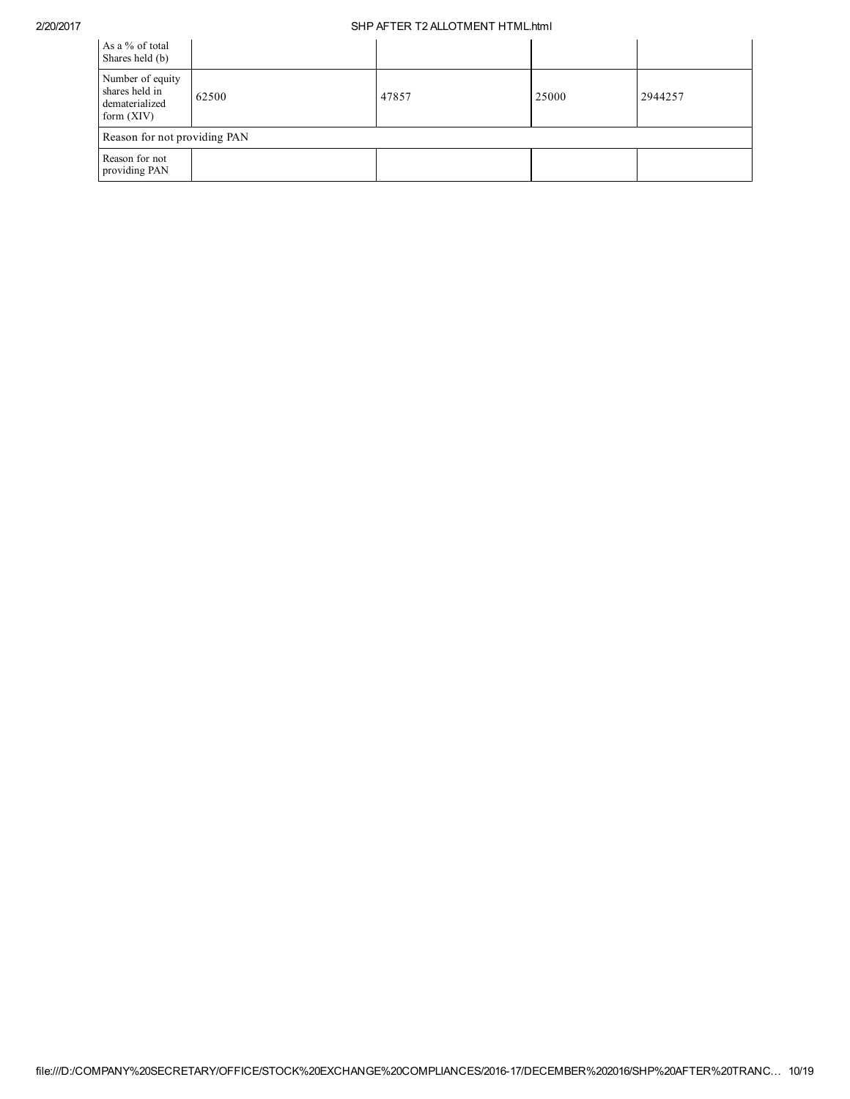| As a % of total<br>Shares held (b)                                   |       |       |       |         |  |  |  |  |
|----------------------------------------------------------------------|-------|-------|-------|---------|--|--|--|--|
| Number of equity<br>shares held in<br>dematerialized<br>form $(XIV)$ | 62500 | 47857 | 25000 | 2944257 |  |  |  |  |
| Reason for not providing PAN                                         |       |       |       |         |  |  |  |  |
| Reason for not<br>providing PAN                                      |       |       |       |         |  |  |  |  |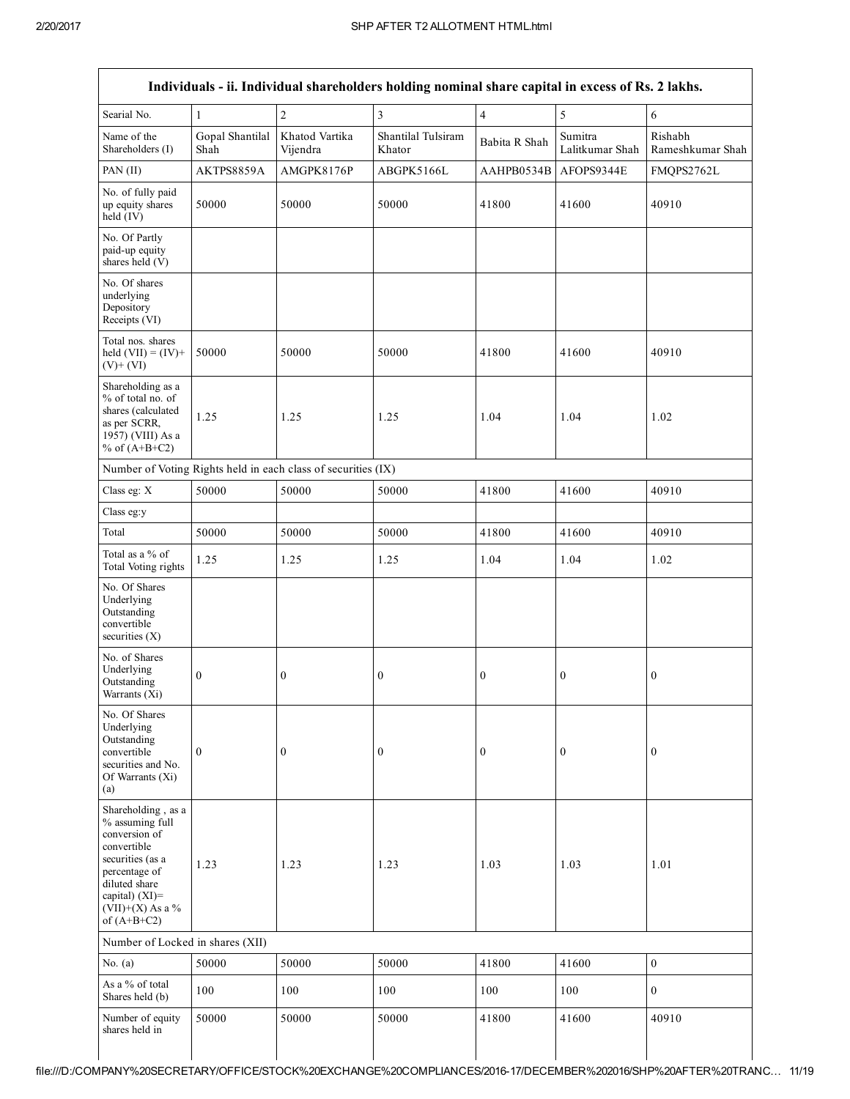|                                                                                                                                                                                       |                         |                                                               | Individuals - ii. Individual shareholders holding nominal share capital in excess of Rs. 2 lakhs. |                  |                            |                             |
|---------------------------------------------------------------------------------------------------------------------------------------------------------------------------------------|-------------------------|---------------------------------------------------------------|---------------------------------------------------------------------------------------------------|------------------|----------------------------|-----------------------------|
| Searial No.                                                                                                                                                                           | 1                       | $\overline{c}$                                                | 3                                                                                                 | $\overline{4}$   | 5                          | 6                           |
| Name of the<br>Shareholders (I)                                                                                                                                                       | Gopal Shantilal<br>Shah | Khatod Vartika<br>Vijendra                                    | Shantilal Tulsiram<br>Khator                                                                      | Babita R Shah    | Sumitra<br>Lalitkumar Shah | Rishabh<br>Rameshkumar Shah |
| PAN (II)                                                                                                                                                                              | AKTPS8859A              | AMGPK8176P                                                    | ABGPK5166L                                                                                        | AAHPB0534B       | AFOPS9344E                 | FMQPS2762L                  |
| No. of fully paid<br>up equity shares<br>held (IV)                                                                                                                                    | 50000                   | 50000                                                         | 50000                                                                                             | 41800            | 41600                      | 40910                       |
| No. Of Partly<br>paid-up equity<br>shares held (V)                                                                                                                                    |                         |                                                               |                                                                                                   |                  |                            |                             |
| No. Of shares<br>underlying<br>Depository<br>Receipts (VI)                                                                                                                            |                         |                                                               |                                                                                                   |                  |                            |                             |
| Total nos. shares<br>held $(VII) = (IV) +$<br>$(V)+(VI)$                                                                                                                              | 50000                   | 50000                                                         | 50000                                                                                             | 41800            | 41600                      | 40910                       |
| Shareholding as a<br>% of total no. of<br>shares (calculated<br>as per SCRR,<br>1957) (VIII) As a<br>% of $(A+B+C2)$                                                                  | 1.25                    | 1.25                                                          | 1.25                                                                                              | 1.04             | 1.04                       | 1.02                        |
|                                                                                                                                                                                       |                         | Number of Voting Rights held in each class of securities (IX) |                                                                                                   |                  |                            |                             |
| Class eg: X                                                                                                                                                                           | 50000                   | 50000                                                         | 50000                                                                                             | 41800            | 41600                      | 40910                       |
| Class eg:y                                                                                                                                                                            |                         |                                                               |                                                                                                   |                  |                            |                             |
| Total                                                                                                                                                                                 | 50000                   | 50000                                                         | 50000                                                                                             | 41800            | 41600                      | 40910                       |
| Total as a $\%$ of<br>Total Voting rights                                                                                                                                             | 1.25                    | 1.25                                                          | 1.25                                                                                              | 1.04             | 1.04                       | 1.02                        |
| No. Of Shares<br>Underlying<br>Outstanding<br>convertible<br>securities $(X)$                                                                                                         |                         |                                                               |                                                                                                   |                  |                            |                             |
| No. of Shares<br>Underlying<br>Outstanding<br>Warrants (Xi)                                                                                                                           | $\boldsymbol{0}$        | $\boldsymbol{0}$                                              | $\boldsymbol{0}$                                                                                  | $\boldsymbol{0}$ | $\boldsymbol{0}$           | $\boldsymbol{0}$            |
| No. Of Shares<br>Underlying<br>Outstanding<br>convertible<br>securities and No.<br>Of Warrants (Xi)<br>(a)                                                                            | $\boldsymbol{0}$        | $\boldsymbol{0}$                                              | $\boldsymbol{0}$                                                                                  | $\boldsymbol{0}$ | $\boldsymbol{0}$           | $\boldsymbol{0}$            |
| Shareholding, as a<br>% assuming full<br>conversion of<br>convertible<br>securities (as a<br>percentage of<br>diluted share<br>capital) $(XI)$ =<br>(VII)+(X) As a %<br>of $(A+B+C2)$ | 1.23                    | 1.23                                                          | 1.23                                                                                              | 1.03             | 1.03                       | 1.01                        |
| Number of Locked in shares (XII)                                                                                                                                                      |                         |                                                               |                                                                                                   |                  |                            |                             |
| No. $(a)$                                                                                                                                                                             | 50000                   | 50000                                                         | 50000                                                                                             | 41800            | 41600                      | $\boldsymbol{0}$            |
| As a % of total<br>Shares held (b)                                                                                                                                                    | 100                     | 100                                                           | 100                                                                                               | 100              | 100                        | $\mathbf{0}$                |
| Number of equity<br>shares held in                                                                                                                                                    | 50000                   | 50000                                                         | 50000                                                                                             | 41800            | 41600                      | 40910                       |
|                                                                                                                                                                                       |                         |                                                               |                                                                                                   |                  |                            |                             |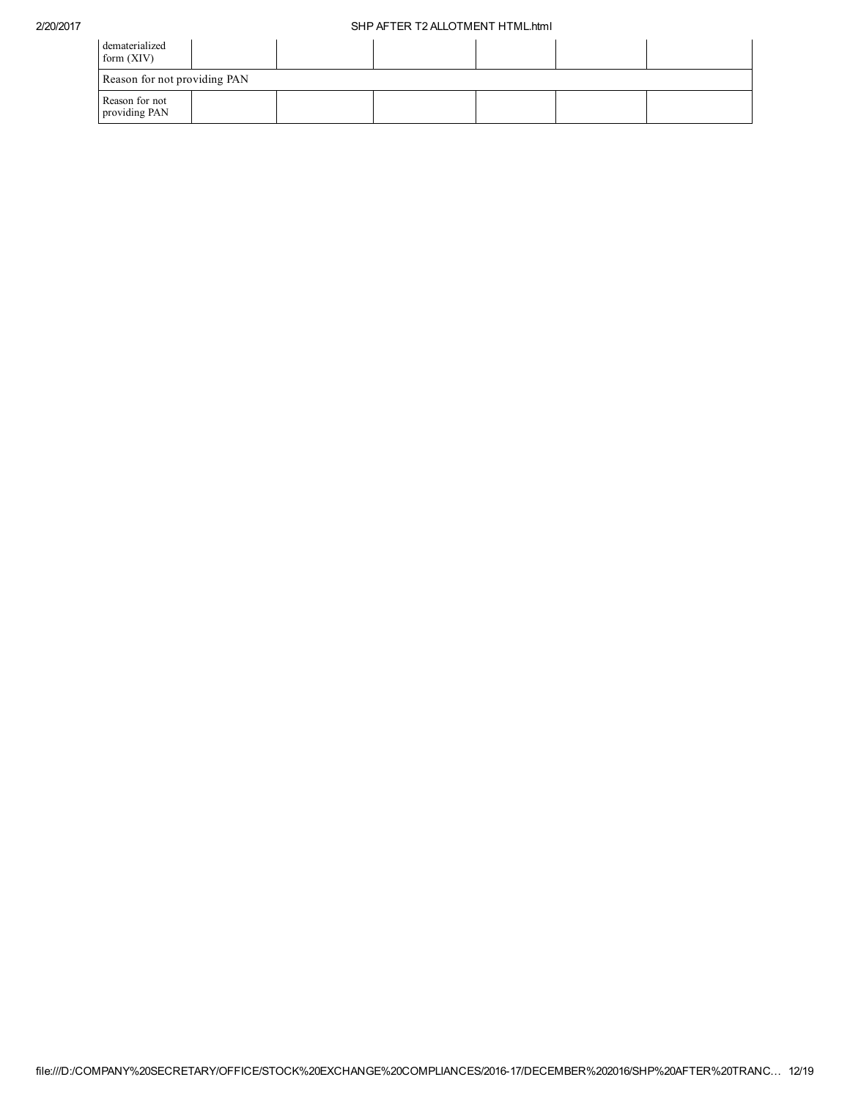| dematerialized<br>form $(XIV)$  |  |  |  |
|---------------------------------|--|--|--|
| Reason for not providing PAN    |  |  |  |
| Reason for not<br>providing PAN |  |  |  |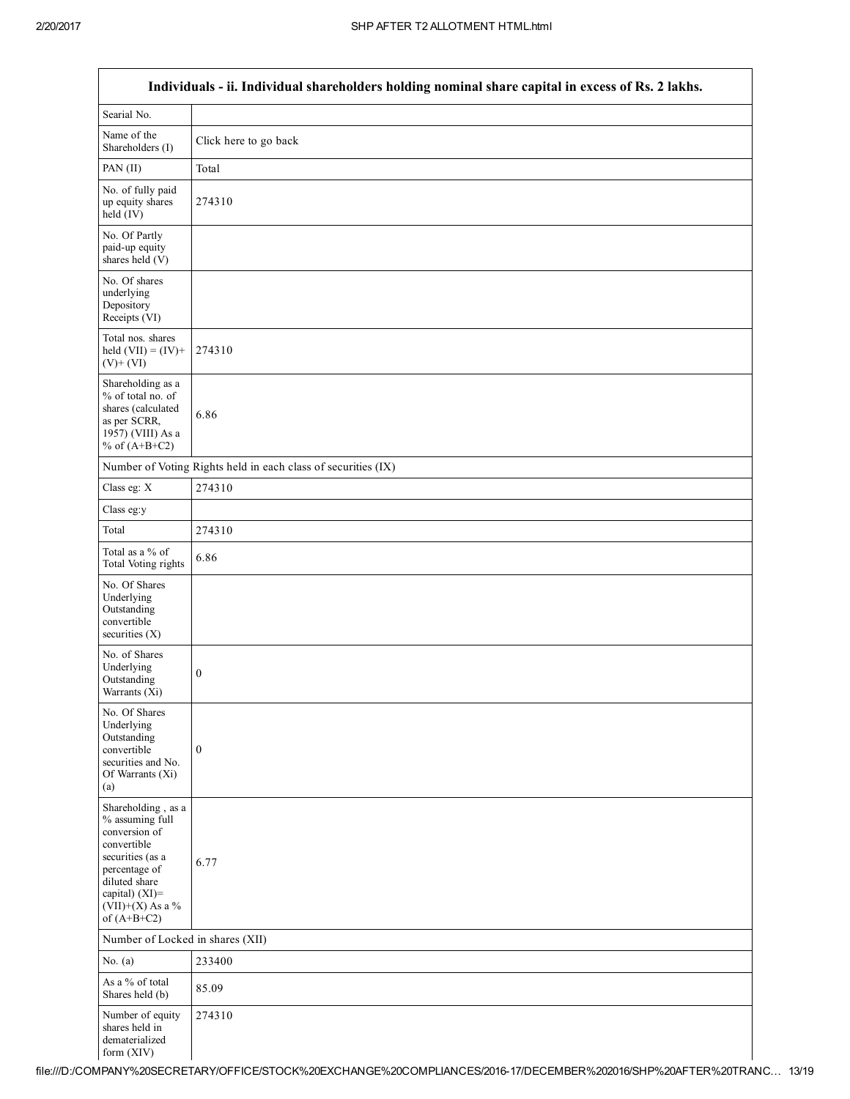$\mathsf I$ 

| Individuals - ii. Individual shareholders holding nominal share capital in excess of Rs. 2 lakhs.                                                                                       |                                                               |  |  |  |
|-----------------------------------------------------------------------------------------------------------------------------------------------------------------------------------------|---------------------------------------------------------------|--|--|--|
| Searial No.                                                                                                                                                                             |                                                               |  |  |  |
| Name of the<br>Shareholders (I)                                                                                                                                                         | Click here to go back                                         |  |  |  |
| PAN (II)                                                                                                                                                                                | Total                                                         |  |  |  |
| No. of fully paid<br>up equity shares<br>$held$ (IV)                                                                                                                                    | 274310                                                        |  |  |  |
| No. Of Partly<br>paid-up equity<br>shares held (V)                                                                                                                                      |                                                               |  |  |  |
| No. Of shares<br>underlying<br>Depository<br>Receipts (VI)                                                                                                                              |                                                               |  |  |  |
| Total nos. shares<br>held $(VII) = (IV) +$<br>$(V) + (VI)$                                                                                                                              | 274310                                                        |  |  |  |
| Shareholding as a<br>% of total no. of<br>shares (calculated<br>as per SCRR,<br>1957) (VIII) As a<br>% of $(A+B+C2)$                                                                    | 6.86                                                          |  |  |  |
|                                                                                                                                                                                         | Number of Voting Rights held in each class of securities (IX) |  |  |  |
| Class eg: X                                                                                                                                                                             | 274310                                                        |  |  |  |
| Class eg:y                                                                                                                                                                              |                                                               |  |  |  |
| Total                                                                                                                                                                                   | 274310                                                        |  |  |  |
| Total as a % of<br>Total Voting rights                                                                                                                                                  | 6.86                                                          |  |  |  |
| No. Of Shares<br>Underlying<br>Outstanding<br>convertible<br>securities $(X)$                                                                                                           |                                                               |  |  |  |
| No. of Shares<br>Underlying<br>Outstanding<br>Warrants (Xi)                                                                                                                             | $\boldsymbol{0}$                                              |  |  |  |
| No. Of Shares<br>Underlying<br>Outstanding<br>convertible<br>securities and No.<br>Of Warrants (Xi)<br>(a)                                                                              | $\mathbf{0}$                                                  |  |  |  |
| Shareholding, as a<br>% assuming full<br>conversion of<br>convertible<br>securities (as a<br>percentage of<br>diluted share<br>capital) $(XI)$ =<br>$(VII)+(X)$ As a %<br>of $(A+B+C2)$ | 6.77                                                          |  |  |  |
| Number of Locked in shares (XII)                                                                                                                                                        |                                                               |  |  |  |
| No. $(a)$                                                                                                                                                                               | 233400                                                        |  |  |  |
| As a % of total<br>Shares held (b)                                                                                                                                                      | 85.09                                                         |  |  |  |
| Number of equity<br>shares held in<br>dematerialized<br>form (XIV)                                                                                                                      | 274310                                                        |  |  |  |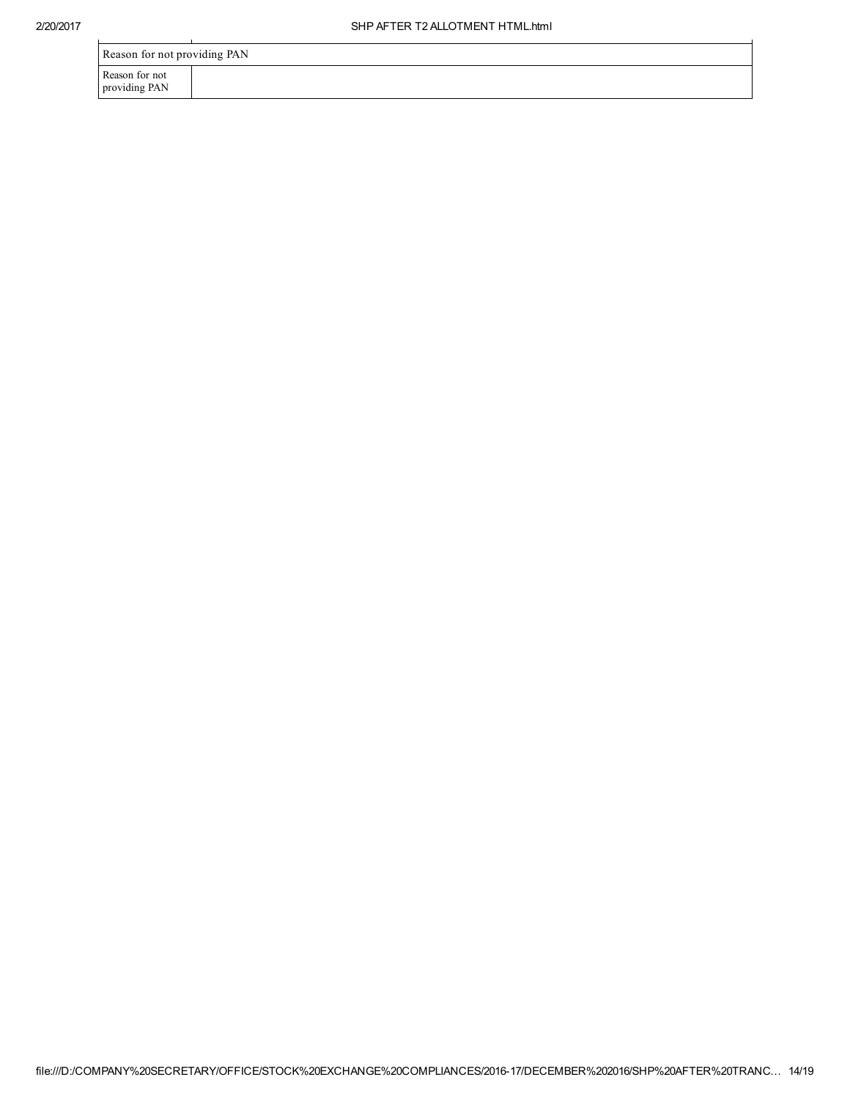| Reason for not providing PAN    |  |  |
|---------------------------------|--|--|
| Reason for not<br>providing PAN |  |  |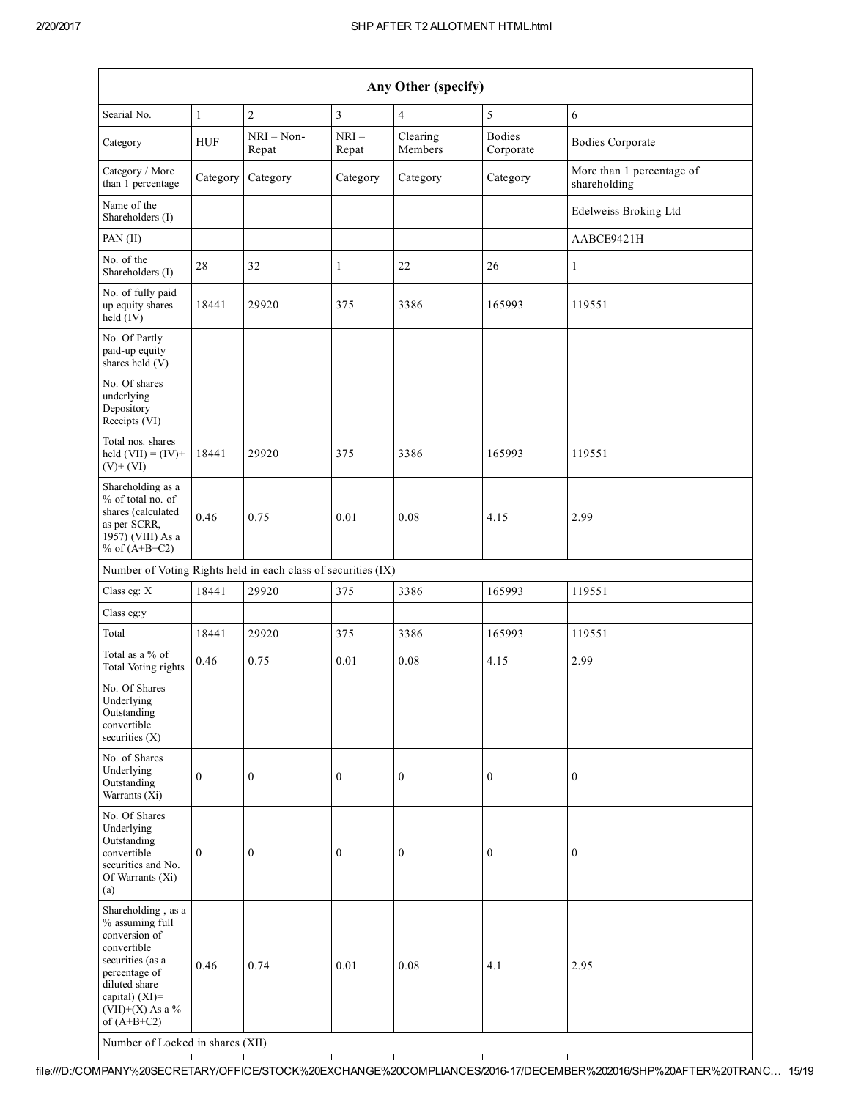| Any Other (specify)                                                                                                                                                                     |              |                     |                  |                     |                            |                                           |
|-----------------------------------------------------------------------------------------------------------------------------------------------------------------------------------------|--------------|---------------------|------------------|---------------------|----------------------------|-------------------------------------------|
| Searial No.                                                                                                                                                                             | $\mathbf{1}$ | $\overline{c}$      | 3                | $\overline{4}$      | 5                          | 6                                         |
| Category                                                                                                                                                                                | <b>HUF</b>   | NRI - Non-<br>Repat | $NRI-$<br>Repat  | Clearing<br>Members | <b>Bodies</b><br>Corporate | <b>Bodies Corporate</b>                   |
| Category / More<br>than 1 percentage                                                                                                                                                    | Category     | Category            | Category         | Category            | Category                   | More than 1 percentage of<br>shareholding |
| Name of the<br>Shareholders (I)                                                                                                                                                         |              |                     |                  |                     |                            | Edelweiss Broking Ltd                     |
| PAN (II)                                                                                                                                                                                |              |                     |                  |                     |                            | AABCE9421H                                |
| No. of the<br>Shareholders (I)                                                                                                                                                          | 28           | 32                  | $\mathbf{1}$     | 22                  | 26                         | $\mathbf{1}$                              |
| No. of fully paid<br>up equity shares<br>$held$ (IV)                                                                                                                                    | 18441        | 29920               | 375              | 3386                | 165993                     | 119551                                    |
| No. Of Partly<br>paid-up equity<br>shares held (V)                                                                                                                                      |              |                     |                  |                     |                            |                                           |
| No. Of shares<br>underlying<br>Depository<br>Receipts (VI)                                                                                                                              |              |                     |                  |                     |                            |                                           |
| Total nos. shares<br>held $(VII) = (IV) +$<br>$(V)$ + $(VI)$                                                                                                                            | 18441        | 29920               | 375              | 3386                | 165993                     | 119551                                    |
| Shareholding as a<br>% of total no. of<br>shares (calculated<br>as per SCRR,<br>1957) (VIII) As a<br>% of $(A+B+C2)$                                                                    | 0.46         | 0.75                | 0.01             | 0.08                | 4.15                       | 2.99                                      |
| Number of Voting Rights held in each class of securities (IX)                                                                                                                           |              |                     |                  |                     |                            |                                           |
| Class eg: X                                                                                                                                                                             | 18441        | 29920               | 375              | 3386                | 165993                     | 119551                                    |
| Class eg:y                                                                                                                                                                              |              |                     |                  |                     |                            |                                           |
| Total                                                                                                                                                                                   | 18441        | 29920               | 375              | 3386                | 165993                     | 119551                                    |
| Total as a % of<br>Total Voting rights                                                                                                                                                  | 0.46         | 0.75                | 0.01             | 0.08                | 4.15                       | 2.99                                      |
| No. Of Shares<br>Underlying<br>Outstanding<br>convertible<br>securities (X)                                                                                                             |              |                     |                  |                     |                            |                                           |
| No. of Shares<br>Underlying<br>Outstanding<br>Warrants (Xi)                                                                                                                             | $\mathbf{0}$ | $\boldsymbol{0}$    | $\boldsymbol{0}$ | $\boldsymbol{0}$    | $\boldsymbol{0}$           | $\boldsymbol{0}$                          |
| No. Of Shares<br>Underlying<br>Outstanding<br>convertible<br>securities and No.<br>Of Warrants (Xi)<br>(a)                                                                              | $\mathbf{0}$ | $\boldsymbol{0}$    | $\boldsymbol{0}$ | $\boldsymbol{0}$    | $\boldsymbol{0}$           | $\mathbf{0}$                              |
| Shareholding, as a<br>% assuming full<br>conversion of<br>convertible<br>securities (as a<br>percentage of<br>diluted share<br>capital) $(XI)$ =<br>$(VII)+(X)$ As a %<br>of $(A+B+C2)$ | 0.46         | 0.74                | 0.01             | 0.08                | 4.1                        | 2.95                                      |

Number of Locked in shares (XII) ٦

file:///D:/COMPANY%20SECRETARY/OFFICE/STOCK%20EXCHANGE%20COMPLIANCES/201617/DECEMBER%202016/SHP%20AFTER%20TRANC… 15/19

┯

┯

┯

┯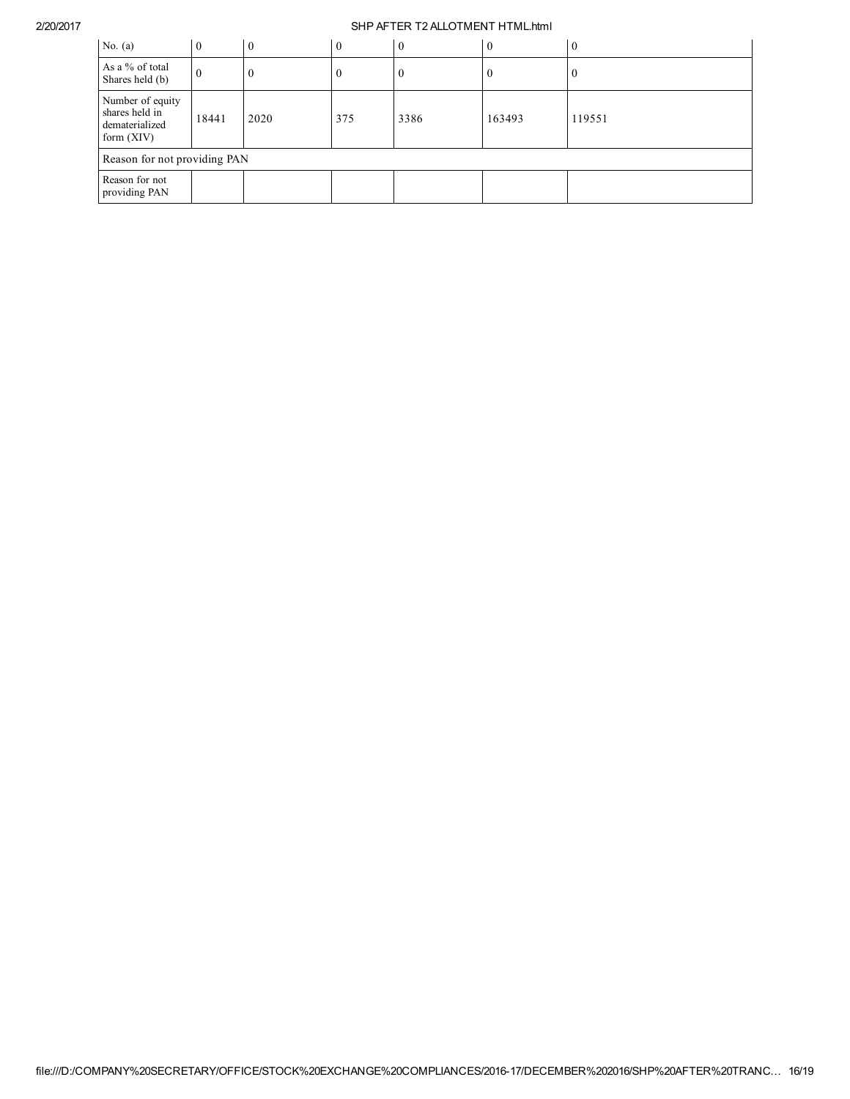| No. $(a)$                                                            | $\theta$ | $\theta$ | $\theta$ | $\overline{0}$ | $\overline{0}$ | $\theta$ |
|----------------------------------------------------------------------|----------|----------|----------|----------------|----------------|----------|
| As a % of total<br>Shares held (b)                                   | U        |          |          | U              | $\bf{0}$       | U        |
| Number of equity<br>shares held in<br>dematerialized<br>form $(XIV)$ | 18441    | 2020     | 375      | 3386           | 163493         | 119551   |
| Reason for not providing PAN                                         |          |          |          |                |                |          |
| Reason for not<br>providing PAN                                      |          |          |          |                |                |          |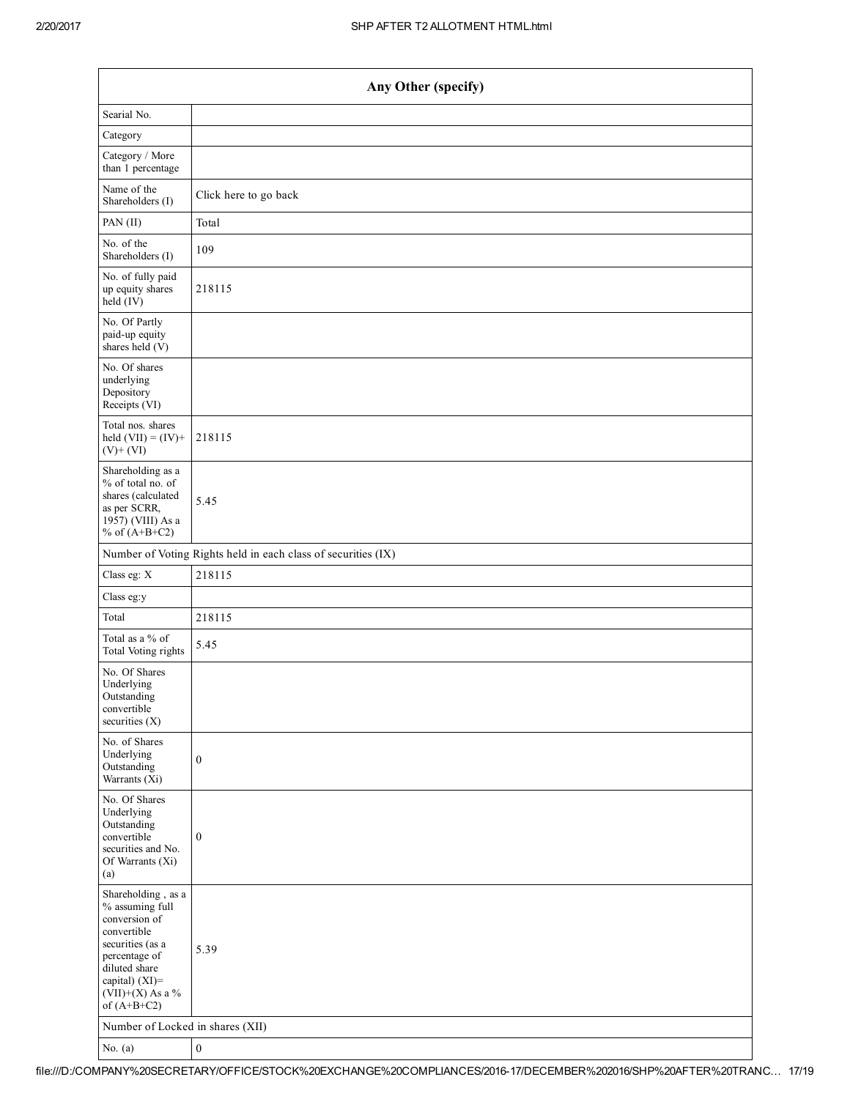| Any Other (specify)                                                                                                                                                                  |                                                               |  |  |  |  |  |  |
|--------------------------------------------------------------------------------------------------------------------------------------------------------------------------------------|---------------------------------------------------------------|--|--|--|--|--|--|
| Searial No.                                                                                                                                                                          |                                                               |  |  |  |  |  |  |
| Category                                                                                                                                                                             |                                                               |  |  |  |  |  |  |
| Category / More<br>than 1 percentage                                                                                                                                                 |                                                               |  |  |  |  |  |  |
| Name of the<br>Shareholders (I)                                                                                                                                                      | Click here to go back                                         |  |  |  |  |  |  |
| PAN (II)                                                                                                                                                                             | Total                                                         |  |  |  |  |  |  |
| No. of the<br>Shareholders (I)                                                                                                                                                       | 109                                                           |  |  |  |  |  |  |
| No. of fully paid<br>up equity shares<br>held (IV)                                                                                                                                   | 218115                                                        |  |  |  |  |  |  |
| No. Of Partly<br>paid-up equity<br>shares held $(V)$                                                                                                                                 |                                                               |  |  |  |  |  |  |
| No. Of shares<br>underlying<br>Depository<br>Receipts (VI)                                                                                                                           |                                                               |  |  |  |  |  |  |
| Total nos. shares<br>held $(VII) = (IV) +$<br>$(V)$ + $(VI)$                                                                                                                         | 218115                                                        |  |  |  |  |  |  |
| Shareholding as a<br>% of total no. of<br>shares (calculated<br>as per SCRR,<br>1957) (VIII) As a<br>% of $(A+B+C2)$                                                                 | 5.45                                                          |  |  |  |  |  |  |
|                                                                                                                                                                                      | Number of Voting Rights held in each class of securities (IX) |  |  |  |  |  |  |
| Class eg: X                                                                                                                                                                          | 218115                                                        |  |  |  |  |  |  |
| Class eg:y                                                                                                                                                                           |                                                               |  |  |  |  |  |  |
| Total                                                                                                                                                                                | 218115                                                        |  |  |  |  |  |  |
| Total as a % of<br>Total Voting rights                                                                                                                                               | 5.45                                                          |  |  |  |  |  |  |
| No. Of Shares<br>Underlying<br>Outstanding<br>convertible<br>securities $(X)$                                                                                                        |                                                               |  |  |  |  |  |  |
| No. of Shares<br>Underlying<br>Outstanding<br>Warrants (Xi)                                                                                                                          | $\boldsymbol{0}$                                              |  |  |  |  |  |  |
| No. Of Shares<br>Underlying<br>Outstanding<br>convertible<br>securities and No.<br>Of Warrants (Xi)<br>(a)                                                                           | $\boldsymbol{0}$                                              |  |  |  |  |  |  |
| Shareholding, as a<br>% assuming full<br>conversion of<br>convertible<br>securities (as a<br>percentage of<br>diluted share<br>capital) (XI)=<br>$(VII)+(X)$ As a %<br>of $(A+B+C2)$ | 5.39                                                          |  |  |  |  |  |  |
| Number of Locked in shares (XII)                                                                                                                                                     |                                                               |  |  |  |  |  |  |
| No. $(a)$                                                                                                                                                                            | $\boldsymbol{0}$                                              |  |  |  |  |  |  |

file:///D:/COMPANY%20SECRETARY/OFFICE/STOCK%20EXCHANGE%20COMPLIANCES/201617/DECEMBER%202016/SHP%20AFTER%20TRANC… 17/19